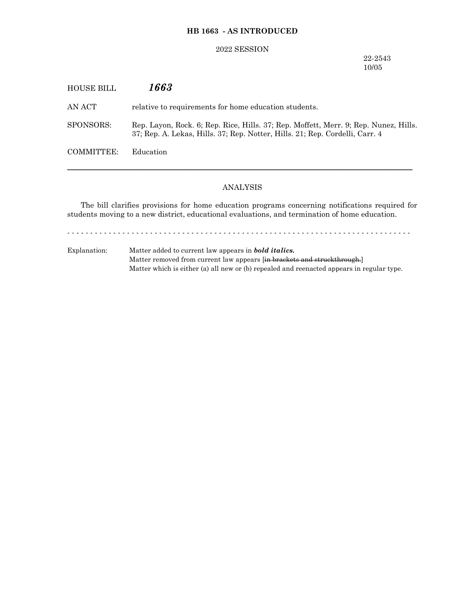## **HB 1663 - AS INTRODUCED**

### 2022 SESSION

22-2543 10/05

| HOUSE BILL | 1663                                                                                                                                                                 |
|------------|----------------------------------------------------------------------------------------------------------------------------------------------------------------------|
| AN ACT-    | relative to requirements for home education students.                                                                                                                |
| SPONSORS:  | Rep. Layon, Rock. 6; Rep. Rice, Hills. 37; Rep. Moffett, Merr. 9; Rep. Nunez, Hills.<br>37; Rep. A. Lekas, Hills. 37; Rep. Notter, Hills. 21; Rep. Cordelli, Carr. 4 |
| COMMITTEE: | Education                                                                                                                                                            |
|            |                                                                                                                                                                      |

# ANALYSIS

─────────────────────────────────────────────────────────────────

The bill clarifies provisions for home education programs concerning notifications required for students moving to a new district, educational evaluations, and termination of home education.

- - - - - - - - - - - - - - - - - - - - - - - - - - - - - - - - - - - - - - - - - - - - - - - - - - - - - - - - - - - - - - - - - - - - - - - - - - -

Explanation: Matter added to current law appears in *bold italics.* Matter removed from current law appears [in brackets and struckthrough.] Matter which is either (a) all new or (b) repealed and reenacted appears in regular type.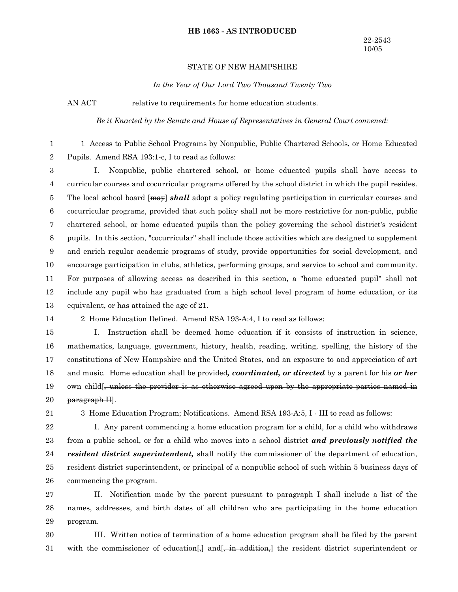#### **HB 1663 - AS INTRODUCED**

#### STATE OF NEW HAMPSHIRE

*In the Year of Our Lord Two Thousand Twenty Two*

AN ACT relative to requirements for home education students.

*Be it Enacted by the Senate and House of Representatives in General Court convened:*

1 Access to Public School Programs by Nonpublic, Public Chartered Schools, or Home Educated Pupils. Amend RSA 193:1-c, I to read as follows: 1 2

I. Nonpublic, public chartered school, or home educated pupils shall have access to curricular courses and cocurricular programs offered by the school district in which the pupil resides. The local school board [may] *shall* adopt a policy regulating participation in curricular courses and cocurricular programs, provided that such policy shall not be more restrictive for non-public, public chartered school, or home educated pupils than the policy governing the school district's resident pupils. In this section, "cocurricular" shall include those activities which are designed to supplement and enrich regular academic programs of study, provide opportunities for social development, and encourage participation in clubs, athletics, performing groups, and service to school and community. For purposes of allowing access as described in this section, a "home educated pupil" shall not include any pupil who has graduated from a high school level program of home education, or its equivalent, or has attained the age of 21. 3 4 5 6 7 8 9 10 11 12 13

14

2 Home Education Defined. Amend RSA 193-A:4, I to read as follows:

I. Instruction shall be deemed home education if it consists of instruction in science, mathematics, language, government, history, health, reading, writing, spelling, the history of the constitutions of New Hampshire and the United States, and an exposure to and appreciation of art and music. Home education shall be provided*, coordinated, or directed* by a parent for his *or her* own child[, unless the provider is as otherwise agreed upon by the appropriate parties named in paragraph II]. 15 16 17 18 19 20

21

3 Home Education Program; Notifications. Amend RSA 193-A:5, I - III to read as follows:

I. Any parent commencing a home education program for a child, for a child who withdraws from a public school, or for a child who moves into a school district *and previously notified the resident district superintendent,* shall notify the commissioner of the department of education, resident district superintendent, or principal of a nonpublic school of such within 5 business days of commencing the program. 22 23 24 25 26

II. Notification made by the parent pursuant to paragraph I shall include a list of the names, addresses, and birth dates of all children who are participating in the home education program. 27 28 29

III. Written notice of termination of a home education program shall be filed by the parent with the commissioner of education  $\frac{1}{2}$  and  $\frac{1}{2}$  in addition, the resident district superintendent or 30 31